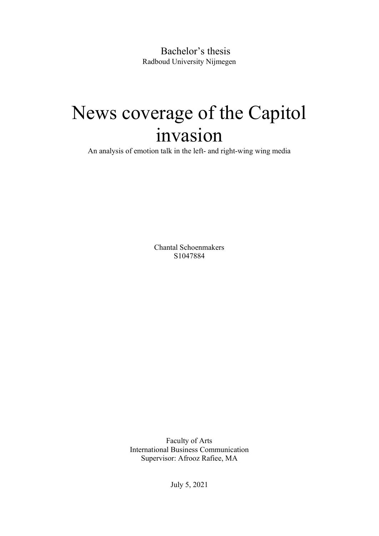Bachelor's thesis Radboud University Nijmegen

# News coverage of the Capitol invasion

An analysis of emotion talk in the left- and right-wing wing media

Chantal Schoenmakers S1047884

Faculty of Arts International Business Communication Supervisor: Afrooz Rafiee, MA

July 5, 2021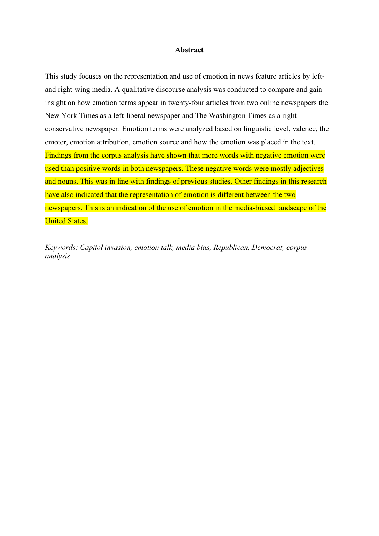#### **Abstract**

This study focuses on the representation and use of emotion in news feature articles by leftand right-wing media. A qualitative discourse analysis was conducted to compare and gain insight on how emotion terms appear in twenty-four articles from two online newspapers the New York Times as a left-liberal newspaper and The Washington Times as a rightconservative newspaper. Emotion terms were analyzed based on linguistic level, valence, the emoter, emotion attribution, emotion source and how the emotion was placed in the text. Findings from the corpus analysis have shown that more words with negative emotion were used than positive words in both newspapers. These negative words were mostly adjectives and nouns. This was in line with findings of previous studies. Other findings in this research have also indicated that the representation of emotion is different between the two newspapers. This is an indication of the use of emotion in the media-biased landscape of the United States.

*Keywords: Capitol invasion, emotion talk, media bias, Republican, Democrat, corpus analysis*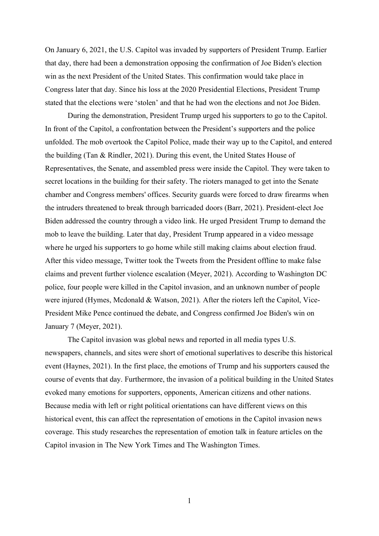On January 6, 2021, the U.S. Capitol was invaded by supporters of President Trump. Earlier that day, there had been a demonstration opposing the confirmation of Joe Biden's election win as the next President of the United States. This confirmation would take place in Congress later that day. Since his loss at the 2020 Presidential Elections, President Trump stated that the elections were 'stolen' and that he had won the elections and not Joe Biden.

During the demonstration, President Trump urged his supporters to go to the Capitol. In front of the Capitol, a confrontation between the President's supporters and the police unfolded. The mob overtook the Capitol Police, made their way up to the Capitol, and entered the building (Tan & Rindler, 2021). During this event, the United States House of Representatives, the Senate, and assembled press were inside the Capitol. They were taken to secret locations in the building for their safety. The rioters managed to get into the Senate chamber and Congress members' offices. Security guards were forced to draw firearms when the intruders threatened to break through barricaded doors (Barr, 2021). President-elect Joe Biden addressed the country through a video link. He urged President Trump to demand the mob to leave the building. Later that day, President Trump appeared in a video message where he urged his supporters to go home while still making claims about election fraud. After this video message, Twitter took the Tweets from the President offline to make false claims and prevent further violence escalation (Meyer, 2021). According to Washington DC police, four people were killed in the Capitol invasion, and an unknown number of people were injured (Hymes, Mcdonald & Watson, 2021). After the rioters left the Capitol, Vice-President Mike Pence continued the debate, and Congress confirmed Joe Biden's win on January 7 (Meyer, 2021).

The Capitol invasion was global news and reported in all media types U.S. newspapers, channels, and sites were short of emotional superlatives to describe this historical event (Haynes, 2021). In the first place, the emotions of Trump and his supporters caused the course of events that day. Furthermore, the invasion of a political building in the United States evoked many emotions for supporters, opponents, American citizens and other nations. Because media with left or right political orientations can have different views on this historical event, this can affect the representation of emotions in the Capitol invasion news coverage. This study researches the representation of emotion talk in feature articles on the Capitol invasion in The New York Times and The Washington Times.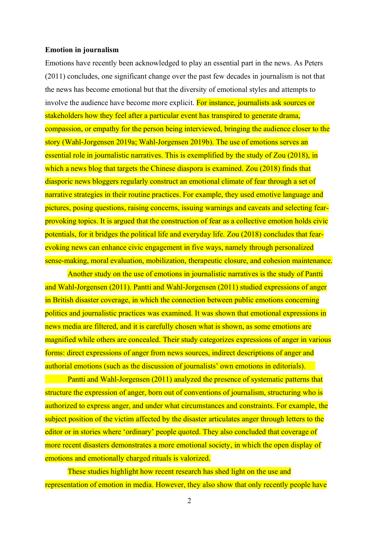#### **Emotion in journalism**

Emotions have recently been acknowledged to play an essential part in the news. As Peters (2011) concludes, one significant change over the past few decades in journalism is not that the news has become emotional but that the diversity of emotional styles and attempts to involve the audience have become more explicit. For instance, journalists ask sources or stakeholders how they feel after a particular event has transpired to generate drama, compassion, or empathy for the person being interviewed, bringing the audience closer to the story (Wahl-Jorgensen 2019a; Wahl-Jorgensen 2019b). The use of emotions serves an essential role in journalistic narratives. This is exemplified by the study of Zou (2018), in which a news blog that targets the Chinese diaspora is examined. Zou (2018) finds that diasporic news bloggers regularly construct an emotional climate of fear through a set of narrative strategies in their routine practices. For example, they used emotive language and pictures, posing questions, raising concerns, issuing warnings and caveats and selecting fearprovoking topics. It is argued that the construction of fear as a collective emotion holds civic potentials, for it bridges the political life and everyday life. Zou (2018) concludes that fearevoking news can enhance civic engagement in five ways, namely through personalized sense-making, moral evaluation, mobilization, therapeutic closure, and cohesion maintenance.

Another study on the use of emotions in journalistic narratives is the study of Pantti and Wahl-Jorgensen (2011). Pantti and Wahl-Jorgensen (2011) studied expressions of anger in British disaster coverage, in which the connection between public emotions concerning politics and journalistic practices was examined. It was shown that emotional expressions in news media are filtered, and it is carefully chosen what is shown, as some emotions are magnified while others are concealed. Their study categorizes expressions of anger in various forms: direct expressions of anger from news sources, indirect descriptions of anger and authorial emotions (such as the discussion of journalists' own emotions in editorials).

Pantti and Wahl-Jorgensen (2011) analyzed the presence of systematic patterns that structure the expression of anger, born out of conventions of journalism, structuring who is authorized to express anger, and under what circumstances and constraints. For example, the subject position of the victim affected by the disaster articulates anger through letters to the editor or in stories where 'ordinary' people quoted. They also concluded that coverage of more recent disasters demonstrates a more emotional society, in which the open display of emotions and emotionally charged rituals is valorized.

These studies highlight how recent research has shed light on the use and representation of emotion in media. However, they also show that only recently people have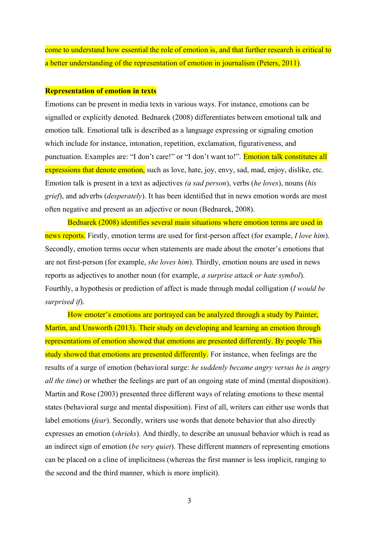come to understand how essential the role of emotion is, and that further research is critical to a better understanding of the representation of emotion in journalism (Peters, 2011).

#### **Representation of emotion in texts**

Emotions can be present in media texts in various ways. For instance, emotions can be signalled or explicitly denoted. Bednarek (2008) differentiates between emotional talk and emotion talk. Emotional talk is described as a language expressing or signaling emotion which include for instance, intonation, repetition, exclamation, figurativeness, and punctuation. Examples are: "I don't care!" or "I don't want to!". Emotion talk constitutes all expressions that denote emotion, such as love, hate, joy, envy, sad, mad, enjoy, dislike, etc. Emotion talk is present in a text as adjectives *(a sad person*), verbs (*he loves*), nouns (*his grief*), and adverbs (*desperately*). It has been identified that in news emotion words are most often negative and present as an adjective or noun (Bednarek, 2008).

Bednarek (2008) identifies several main situations where emotion terms are used in news reports. Firstly, emotion terms are used for first-person affect (for example, *I love him*). Secondly, emotion terms occur when statements are made about the emoter's emotions that are not first-person (for example, *she loves him*). Thirdly, emotion nouns are used in news reports as adjectives to another noun (for example, *a surprise attack or hate symbol*). Fourthly, a hypothesis or prediction of affect is made through modal colligation (*I would be surprised if*).

How emoter's emotions are portrayed can be analyzed through a study by Painter, Martin, and Unsworth (2013). Their study on developing and learning an emotion through representations of emotion showed that emotions are presented differently. By people This study showed that emotions are presented differently. For instance, when feelings are the results of a surge of emotion (behavioral surge: *he suddenly became angry versus he is angry all the time*) or whether the feelings are part of an ongoing state of mind (mental disposition). Martin and Rose (2003) presented three different ways of relating emotions to these mental states (behavioral surge and mental disposition). First of all, writers can either use words that label emotions *(fear)*. Secondly, writers use words that denote behavior that also directly expresses an emotion (*shrieks*). And thirdly, to describe an unusual behavior which is read as an indirect sign of emotion (*be very quiet*). These different manners of representing emotions can be placed on a cline of implicitness (whereas the first manner is less implicit, ranging to the second and the third manner, which is more implicit).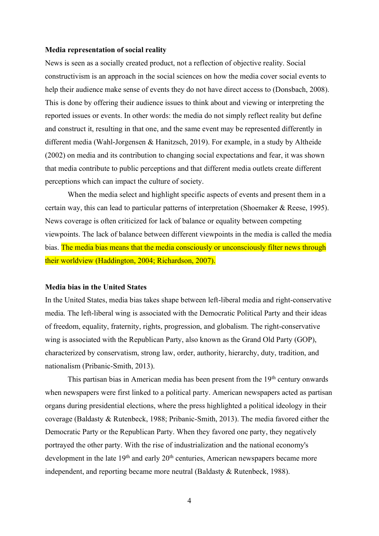#### **Media representation of social reality**

News is seen as a socially created product, not a reflection of objective reality. Social constructivism is an approach in the social sciences on how the media cover social events to help their audience make sense of events they do not have direct access to (Donsbach, 2008). This is done by offering their audience issues to think about and viewing or interpreting the reported issues or events. In other words: the media do not simply reflect reality but define and construct it, resulting in that one, and the same event may be represented differently in different media (Wahl-Jorgensen & Hanitzsch, 2019). For example, in a study by Altheide (2002) on media and its contribution to changing social expectations and fear, it was shown that media contribute to public perceptions and that different media outlets create different perceptions which can impact the culture of society.

When the media select and highlight specific aspects of events and present them in a certain way, this can lead to particular patterns of interpretation (Shoemaker & Reese, 1995). News coverage is often criticized for lack of balance or equality between competing viewpoints. The lack of balance between different viewpoints in the media is called the media bias. The media bias means that the media consciously or unconsciously filter news through their worldview (Haddington, 2004; Richardson, 2007).

#### **Media bias in the United States**

In the United States, media bias takes shape between left-liberal media and right-conservative media. The left-liberal wing is associated with the Democratic Political Party and their ideas of freedom, equality, fraternity, rights, progression, and globalism. The right-conservative wing is associated with the Republican Party, also known as the Grand Old Party (GOP), characterized by conservatism, strong law, order, authority, hierarchy, duty, tradition, and nationalism (Pribanic-Smith, 2013).

This partisan bias in American media has been present from the 19<sup>th</sup> century onwards when newspapers were first linked to a political party. American newspapers acted as partisan organs during presidential elections, where the press highlighted a political ideology in their coverage (Baldasty & Rutenbeck, 1988; Pribanic-Smith, 2013). The media favored either the Democratic Party or the Republican Party. When they favored one party, they negatively portrayed the other party. With the rise of industrialization and the national economy's development in the late  $19<sup>th</sup>$  and early  $20<sup>th</sup>$  centuries, American newspapers became more independent, and reporting became more neutral (Baldasty & Rutenbeck, 1988).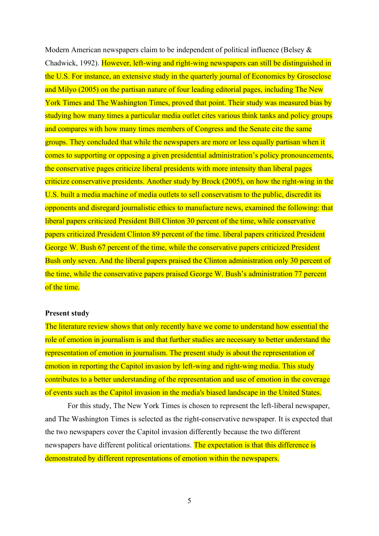Modern American newspapers claim to be independent of political influence (Belsey & Chadwick, 1992). However, left-wing and right-wing newspapers can still be distinguished in the U.S. For instance, an extensive study in the quarterly journal of Economics by Groseclose and Milyo (2005) on the partisan nature of four leading editorial pages, including The New York Times and The Washington Times, proved that point. Their study was measured bias by studying how many times a particular media outlet cites various think tanks and policy groups and compares with how many times members of Congress and the Senate cite the same groups. They concluded that while the newspapers are more or less equally partisan when it comes to supporting or opposing a given presidential administration's policy pronouncements, the conservative pages criticize liberal presidents with more intensity than liberal pages criticize conservative presidents. Another study by Brock (2005), on how the right-wing in the U.S. built a media machine of media outlets to sell conservatism to the public, discredit its opponents and disregard journalistic ethics to manufacture news, examined the following: that liberal papers criticized President Bill Clinton 30 percent of the time, while conservative papers criticized President Clinton 89 percent of the time. liberal papers criticized President George W. Bush 67 percent of the time, while the conservative papers criticized President Bush only seven. And the liberal papers praised the Clinton administration only 30 percent of the time, while the conservative papers praised George W. Bush's administration 77 percent of the time.

#### **Present study**

The literature review shows that only recently have we come to understand how essential the role of emotion in journalism is and that further studies are necessary to better understand the representation of emotion in journalism. The present study is about the representation of emotion in reporting the Capitol invasion by left-wing and right-wing media. This study contributes to a better understanding of the representation and use of emotion in the coverage of events such as the Capitol invasion in the media's biased landscape in the United States.

For this study, The New York Times is chosen to represent the left-liberal newspaper, and The Washington Times is selected as the right-conservative newspaper. It is expected that the two newspapers cover the Capitol invasion differently because the two different newspapers have different political orientations. The expectation is that this difference is demonstrated by different representations of emotion within the newspapers.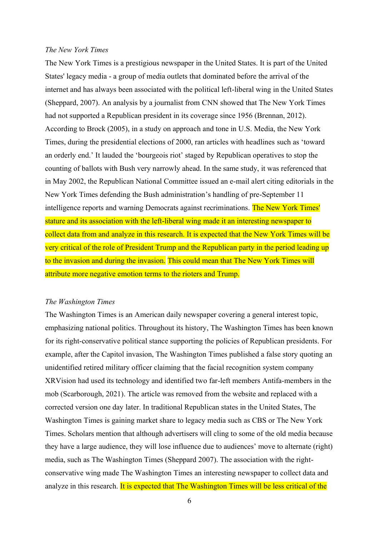#### *The New York Times*

The New York Times is a prestigious newspaper in the United States. It is part of the United States' legacy media - a group of media outlets that dominated before the arrival of the internet and has always been associated with the political left-liberal wing in the United States (Sheppard, 2007). An analysis by a journalist from CNN showed that The New York Times had not supported a Republican president in its coverage since 1956 (Brennan, 2012). According to Brock (2005), in a study on approach and tone in U.S. Media, the New York Times, during the presidential elections of 2000, ran articles with headlines such as 'toward an orderly end.' It lauded the 'bourgeois riot' staged by Republican operatives to stop the counting of ballots with Bush very narrowly ahead. In the same study, it was referenced that in May 2002, the Republican National Committee issued an e-mail alert citing editorials in the New York Times defending the Bush administration's handling of pre-September 11 intelligence reports and warning Democrats against recriminations. The New York Times' stature and its association with the left-liberal wing made it an interesting newspaper to collect data from and analyze in this research. It is expected that the New York Times will be very critical of the role of President Trump and the Republican party in the period leading up to the invasion and during the invasion. This could mean that The New York Times will attribute more negative emotion terms to the rioters and Trump.

#### *The Washington Times*

The Washington Times is an American daily newspaper covering a general interest topic, emphasizing national politics. Throughout its history, The Washington Times has been known for its right-conservative political stance supporting the policies of Republican presidents. For example, after the Capitol invasion, The Washington Times published a false story quoting an unidentified retired military officer claiming that the facial recognition system company XRVision had used its technology and identified two far-left members Antifa-members in the mob (Scarborough, 2021). The article was removed from the website and replaced with a corrected version one day later. In traditional Republican states in the United States, The Washington Times is gaining market share to legacy media such as CBS or The New York Times. Scholars mention that although advertisers will cling to some of the old media because they have a large audience, they will lose influence due to audiences' move to alternate (right) media, such as The Washington Times (Sheppard 2007). The association with the rightconservative wing made The Washington Times an interesting newspaper to collect data and analyze in this research. It is expected that The Washington Times will be less critical of the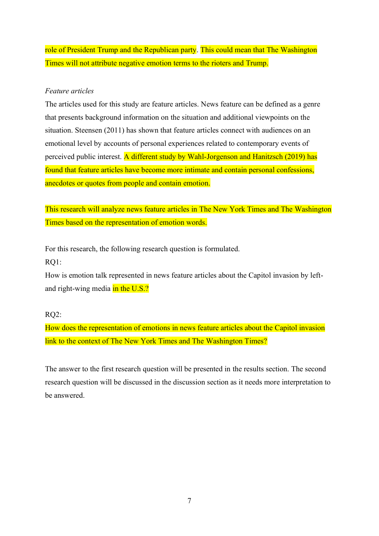role of President Trump and the Republican party. This could mean that The Washington Times will not attribute negative emotion terms to the rioters and Trump.

## *Feature articles*

The articles used for this study are feature articles. News feature can be defined as a genre that presents background information on the situation and additional viewpoints on the situation. Steensen (2011) has shown that feature articles connect with audiences on an emotional level by accounts of personal experiences related to contemporary events of perceived public interest. A different study by Wahl-Jorgenson and Hanitzsch (2019) has found that feature articles have become more intimate and contain personal confessions, anecdotes or quotes from people and contain emotion.

This research will analyze news feature articles in The New York Times and The Washington Times based on the representation of emotion words.

For this research, the following research question is formulated. RQ1:

How is emotion talk represented in news feature articles about the Capitol invasion by leftand right-wing media in the U.S.?

## RQ2:

How does the representation of emotions in news feature articles about the Capitol invasion link to the context of The New York Times and The Washington Times?

The answer to the first research question will be presented in the results section. The second research question will be discussed in the discussion section as it needs more interpretation to be answered.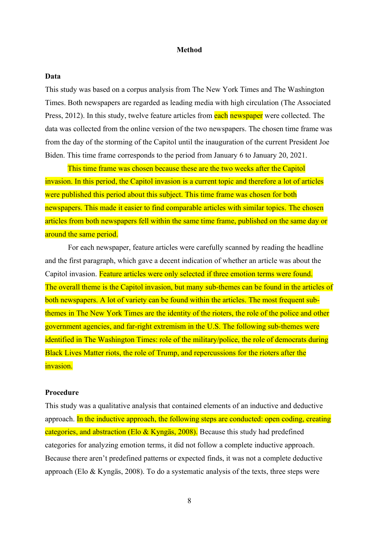#### **Method**

#### **Data**

This study was based on a corpus analysis from The New York Times and The Washington Times. Both newspapers are regarded as leading media with high circulation (The Associated Press, 2012). In this study, twelve feature articles from each newspaper were collected. The data was collected from the online version of the two newspapers. The chosen time frame was from the day of the storming of the Capitol until the inauguration of the current President Joe Biden. This time frame corresponds to the period from January 6 to January 20, 2021.

This time frame was chosen because these are the two weeks after the Capitol invasion. In this period, the Capitol invasion is a current topic and therefore a lot of articles were published this period about this subject. This time frame was chosen for both newspapers. This made it easier to find comparable articles with similar topics. The chosen articles from both newspapers fell within the same time frame, published on the same day or around the same period.

For each newspaper, feature articles were carefully scanned by reading the headline and the first paragraph, which gave a decent indication of whether an article was about the Capitol invasion. Feature articles were only selected if three emotion terms were found. The overall theme is the Capitol invasion, but many sub-themes can be found in the articles of both newspapers. A lot of variety can be found within the articles. The most frequent subthemes in The New York Times are the identity of the rioters, the role of the police and other government agencies, and far-right extremism in the U.S. The following sub-themes were identified in The Washington Times: role of the military/police, the role of democrats during Black Lives Matter riots, the role of Trump, and repercussions for the rioters after the invasion.

#### **Procedure**

This study was a qualitative analysis that contained elements of an inductive and deductive approach. In the inductive approach, the following steps are conducted: open coding, creating categories, and abstraction (Elo & Kyngäs, 2008). Because this study had predefined categories for analyzing emotion terms, it did not follow a complete inductive approach. Because there aren't predefined patterns or expected finds, it was not a complete deductive approach (Elo & Kyngäs, 2008). To do a systematic analysis of the texts, three steps were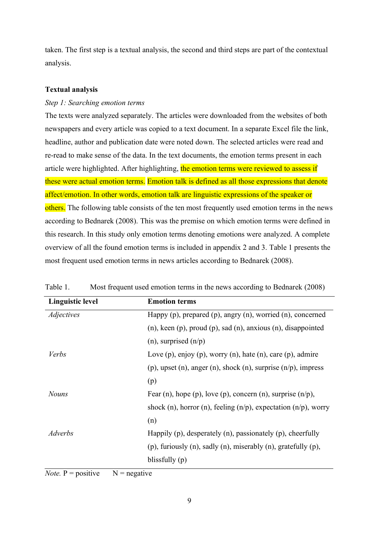taken. The first step is a textual analysis, the second and third steps are part of the contextual analysis.

#### **Textual analysis**

#### *Step 1: Searching emotion terms*

The texts were analyzed separately. The articles were downloaded from the websites of both newspapers and every article was copied to a text document. In a separate Excel file the link, headline, author and publication date were noted down. The selected articles were read and re-read to make sense of the data. In the text documents, the emotion terms present in each article were highlighted. After highlighting, the emotion terms were reviewed to assess if these were actual emotion terms. Emotion talk is defined as all those expressions that denote affect/emotion. In other words, emotion talk are linguistic expressions of the speaker or others. The following table consists of the ten most frequently used emotion terms in the news according to Bednarek (2008). This was the premise on which emotion terms were defined in this research. In this study only emotion terms denoting emotions were analyzed. A complete overview of all the found emotion terms is included in appendix 2 and 3. Table 1 presents the most frequent used emotion terms in news articles according to Bednarek (2008).

| <b>Linguistic level</b> | <b>Emotion terms</b>                                                         |
|-------------------------|------------------------------------------------------------------------------|
| <i>Adjectives</i>       | Happy (p), prepared (p), angry (n), worried (n), concerned                   |
|                         | $(n)$ , keen $(p)$ , proud $(p)$ , sad $(n)$ , anxious $(n)$ , disappointed  |
|                         | (n), surprised $(n/p)$                                                       |
| Verbs                   | Love $(p)$ , enjoy $(p)$ , worry $(n)$ , hate $(n)$ , care $(p)$ , admire    |
|                         | (p), upset (n), anger (n), shock (n), surprise $(n/p)$ , impress             |
|                         | (p)                                                                          |
| <b>Nouns</b>            | Fear (n), hope (p), love (p), concern (n), surprise $(n/p)$ ,                |
|                         | shock (n), horror (n), feeling $(n/p)$ , expectation $(n/p)$ , worry         |
|                         | (n)                                                                          |
| Adverbs                 | Happily $(p)$ , desperately $(n)$ , passionately $(p)$ , cheerfully          |
|                         | $(p)$ , furiously $(n)$ , sadly $(n)$ , miserably $(n)$ , gratefully $(p)$ , |
|                         | blissfully $(p)$                                                             |

Table 1. Most frequent used emotion terms in the news according to Bednarek (2008)

*Note.*  $P = positive \t N = negative$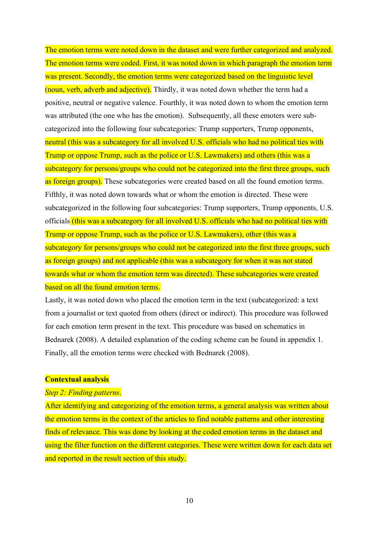The emotion terms were noted down in the dataset and were further categorized and analyzed. The emotion terms were coded. First, it was noted down in which paragraph the emotion term was present. Secondly, the emotion terms were categorized based on the linguistic level (noun, verb, adverb and adjective). Thirdly, it was noted down whether the term had a positive, neutral or negative valence. Fourthly, it was noted down to whom the emotion term was attributed (the one who has the emotion). Subsequently, all these emoters were subcategorized into the following four subcategories: Trump supporters, Trump opponents, neutral (this was a subcategory for all involved U.S. officials who had no political ties with Trump or oppose Trump, such as the police or U.S. Lawmakers) and others (this was a subcategory for persons/groups who could not be categorized into the first three groups, such as foreign groups). These subcategories were created based on all the found emotion terms. Fifthly, it was noted down towards what or whom the emotion is directed. These were subcategorized in the following four subcategories: Trump supporters, Trump opponents, U.S. officials (this was a subcategory for all involved U.S. officials who had no political ties with Trump or oppose Trump, such as the police or U.S. Lawmakers), other (this was a subcategory for persons/groups who could not be categorized into the first three groups, such as foreign groups) and not applicable (this was a subcategory for when it was not stated towards what or whom the emotion term was directed). These subcategories were created based on all the found emotion terms.

Lastly, it was noted down who placed the emotion term in the text (subcategorized: a text from a journalist or text quoted from others (direct or indirect). This procedure was followed for each emotion term present in the text. This procedure was based on schematics in Bednarek (2008). A detailed explanation of the coding scheme can be found in appendix 1. Finally, all the emotion terms were checked with Bednarek (2008).

#### **Contextual analysis**

#### *Step 2: Finding patterns*.

After identifying and categorizing of the emotion terms, a general analysis was written about the emotion terms in the context of the articles to find notable patterns and other interesting finds of relevance. This was done by looking at the coded emotion terms in the dataset and using the filter function on the different categories. These were written down for each data set and reported in the result section of this study.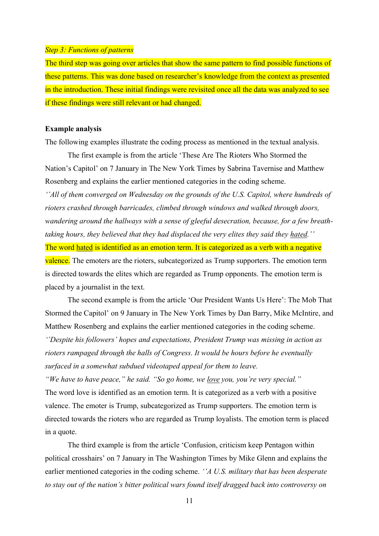#### *Step 3: Functions of patterns*

The third step was going over articles that show the same pattern to find possible functions of these patterns. This was done based on researcher's knowledge from the context as presented in the introduction. These initial findings were revisited once all the data was analyzed to see if these findings were still relevant or had changed.

#### **Example analysis**

The following examples illustrate the coding process as mentioned in the textual analysis.

The first example is from the article 'These Are The Rioters Who Stormed the Nation's Capitol' on 7 January in The New York Times by Sabrina Tavernise and Matthew Rosenberg and explains the earlier mentioned categories in the coding scheme. <sup>"</sup>*All of them converged on Wednesday on the grounds of the U.S. Capitol, where hundreds of rioters crashed through barricades, climbed through windows and walked through doors, wandering around the hallways with a sense of gleeful desecration, because, for a few breathtaking hours, they believed that they had displaced the very elites they said they hated,''* The word hated is identified as an emotion term. It is categorized as a verb with a negative valence. The emoters are the rioters, subcategorized as Trump supporters. The emotion term is directed towards the elites which are regarded as Trump opponents. The emotion term is placed by a journalist in the text.

The second example is from the article 'Our President Wants Us Here': The Mob That Stormed the Capitol' on 9 January in The New York Times by Dan Barry, Mike McIntire, and Matthew Rosenberg and explains the earlier mentioned categories in the coding scheme. *'¶Despite his followers¶ hopes and expectations, President Trump was missing in action as rioters rampaged through the halls of Congress. It would be hours before he eventually surfaced in a somewhat subdued videotaped appeal for them to leave.*

*"We have to have peace," he said. "So go home, we love you, you're very special."* The word love is identified as an emotion term. It is categorized as a verb with a positive valence. The emoter is Trump, subcategorized as Trump supporters. The emotion term is directed towards the rioters who are regarded as Trump loyalists. The emotion term is placed in a quote.

The third example is from the article 'Confusion, criticism keep Pentagon within political crosshairs' on 7 January in The Washington Times by Mike Glenn and explains the earlier mentioned categories in the coding scheme. *'A U.S. military that has been desperate to stay out of the nation's bitter political wars found itself dragged back into controversy on*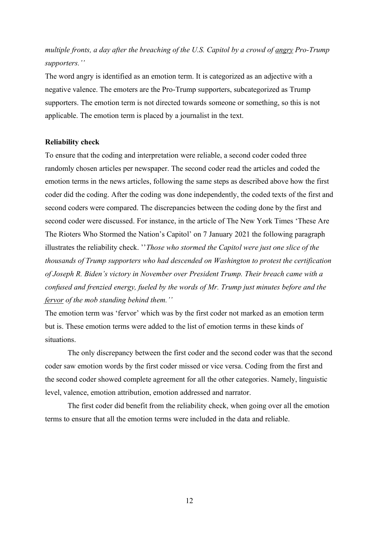## *multiple fronts, a day after the breaching of the U.S. Capitol by a crowd of angry Pro-Trump Supporters.*"

The word angry is identified as an emotion term. It is categorized as an adjective with a negative valence. The emoters are the Pro-Trump supporters, subcategorized as Trump supporters. The emotion term is not directed towards someone or something, so this is not applicable. The emotion term is placed by a journalist in the text.

#### **Reliability check**

To ensure that the coding and interpretation were reliable, a second coder coded three randomly chosen articles per newspaper. The second coder read the articles and coded the emotion terms in the news articles, following the same steps as described above how the first coder did the coding. After the coding was done independently, the coded texts of the first and second coders were compared. The discrepancies between the coding done by the first and second coder were discussed. For instance, in the article of The New York Times 'These Are The Rioters Who Stormed the Nation's Capitol' on 7 January 2021 the following paragraph illustrates the reliability check. "*Those who stormed the Capitol were just one slice of the thousands of Trump supporters who had descended on Washington to protest the certification of Joseph R. Biden's victory in November over President Trump. Their breach came with a confused and frenzied energy, fueled by the words of Mr. Trump just minutes before and the fervor of the mob standing behind them.*"

The emotion term was 'fervor' which was by the first coder not marked as an emotion term but is. These emotion terms were added to the list of emotion terms in these kinds of situations.

The only discrepancy between the first coder and the second coder was that the second coder saw emotion words by the first coder missed or vice versa. Coding from the first and the second coder showed complete agreement for all the other categories. Namely, linguistic level, valence, emotion attribution, emotion addressed and narrator.

The first coder did benefit from the reliability check, when going over all the emotion terms to ensure that all the emotion terms were included in the data and reliable.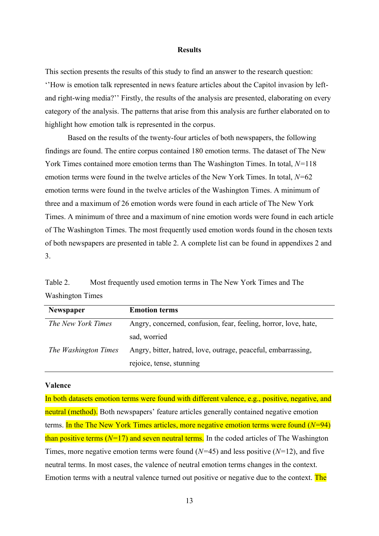#### **Results**

This section presents the results of this study to find an answer to the research question:  $'$ How is emotion talk represented in news feature articles about the Capitol invasion by leftand right-wing media?" Firstly, the results of the analysis are presented, elaborating on every category of the analysis. The patterns that arise from this analysis are further elaborated on to highlight how emotion talk is represented in the corpus.

Based on the results of the twenty-four articles of both newspapers, the following findings are found. The entire corpus contained 180 emotion terms. The dataset of The New York Times contained more emotion terms than The Washington Times. In total, *N=*118 emotion terms were found in the twelve articles of the New York Times. In total, *N=*62 emotion terms were found in the twelve articles of the Washington Times. A minimum of three and a maximum of 26 emotion words were found in each article of The New York Times. A minimum of three and a maximum of nine emotion words were found in each article of The Washington Times. The most frequently used emotion words found in the chosen texts of both newspapers are presented in table 2. A complete list can be found in appendixes 2 and 3.

Table 2. Most frequently used emotion terms in The New York Times and The Washington Times

| <b>Newspaper</b>     | <b>Emotion terms</b>                                            |
|----------------------|-----------------------------------------------------------------|
| The New York Times   | Angry, concerned, confusion, fear, feeling, horror, love, hate, |
|                      | sad, worried                                                    |
| The Washington Times | Angry, bitter, hatred, love, outrage, peaceful, embarrassing,   |
|                      | rejoice, tense, stunning                                        |

#### **Valence**

In both datasets emotion terms were found with different valence, e.g., positive, negative, and neutral (method). Both newspapers' feature articles generally contained negative emotion terms. In the The New York Times articles, more negative emotion terms were found (*N=*94) than positive terms  $(N=17)$  and seven neutral terms. In the coded articles of The Washington Times, more negative emotion terms were found (*N=*45) and less positive (*N=*12), and five neutral terms. In most cases, the valence of neutral emotion terms changes in the context. Emotion terms with a neutral valence turned out positive or negative due to the context. The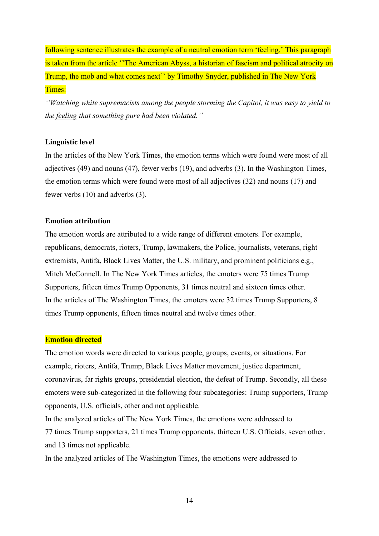following sentence illustrates the example of a neutral emotion term 'feeling.' This paragraph is taken from the article "The American Abyss, a historian of fascism and political atrocity on Trump, the mob and what comes next'' by Timothy Snyder, published in The New York Times:

*Watching white supremacists among the people storming the Capitol, it was easy to yield to the feeling that something pure had been violated.*"

#### **Linguistic level**

In the articles of the New York Times, the emotion terms which were found were most of all adjectives (49) and nouns (47), fewer verbs (19), and adverbs (3). In the Washington Times, the emotion terms which were found were most of all adjectives (32) and nouns (17) and fewer verbs (10) and adverbs (3).

#### **Emotion attribution**

The emotion words are attributed to a wide range of different emoters. For example, republicans, democrats, rioters, Trump, lawmakers, the Police, journalists, veterans, right extremists, Antifa, Black Lives Matter, the U.S. military, and prominent politicians e.g., Mitch McConnell. In The New York Times articles, the emoters were 75 times Trump Supporters, fifteen times Trump Opponents, 31 times neutral and sixteen times other. In the articles of The Washington Times, the emoters were 32 times Trump Supporters, 8 times Trump opponents, fifteen times neutral and twelve times other.

#### **Emotion directed**

The emotion words were directed to various people, groups, events, or situations. For example, rioters, Antifa, Trump, Black Lives Matter movement, justice department, coronavirus, far rights groups, presidential election, the defeat of Trump. Secondly, all these emoters were sub-categorized in the following four subcategories: Trump supporters, Trump opponents, U.S. officials, other and not applicable.

In the analyzed articles of The New York Times, the emotions were addressed to 77 times Trump supporters, 21 times Trump opponents, thirteen U.S. Officials, seven other, and 13 times not applicable.

In the analyzed articles of The Washington Times, the emotions were addressed to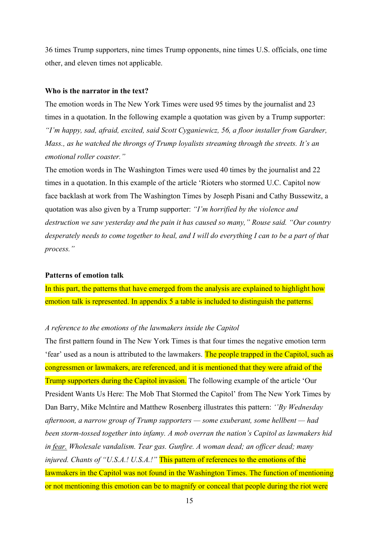36 times Trump supporters, nine times Trump opponents, nine times U.S. officials, one time other, and eleven times not applicable.

#### **Who is the narrator in the text?**

The emotion words in The New York Times were used 95 times by the journalist and 23 times in a quotation. In the following example a quotation was given by a Trump supporter: *<sup>4</sup>I'm happy, sad, afraid, excited, said Scott Cyganiewicz, 56, a floor installer from Gardner, <sup><i>4*</sup> *Mass., as he watched the throngs of Trump lovalists streaming through the streets. It's an emotional roller coaster.*"

The emotion words in The Washington Times were used 40 times by the journalist and 22 times in a quotation. In this example of the article 'Rioters who stormed U.C. Capitol now face backlash at work from The Washington Times by Joseph Pisani and Cathy Bussewitz, a quotation was also given by a Trump supporter: *"I'm horrified by the violence and destruction we saw yesterday and the pain it has caused so many,* "*Rouse said. "Our country desperately needs to come together to heal, and I will do everything I can to be a part of that process.*"

#### **Patterns of emotion talk**

In this part, the patterns that have emerged from the analysis are explained to highlight how emotion talk is represented. In appendix 5 a table is included to distinguish the patterns.

#### *A reference to the emotions of the lawmakers inside the Capitol*

The first pattern found in The New York Times is that four times the negative emotion term 'fear' used as a noun is attributed to the lawmakers. The people trapped in the Capitol, such as congressmen or lawmakers, are referenced, and it is mentioned that they were afraid of the Trump supporters during the Capitol invasion. The following example of the article 'Our President Wants Us Here: The Mob That Stormed the Capitol' from The New York Times by Dan Barry, Mike Mclntire and Matthew Rosenberg illustrates this pattern: *'By Wednesday afternoon, a narrow group of Trump supporters — some exuberant, some hellbent — had been storm-tossed together into infamy. A mob overran the nation's Capitol as lawmakers hid in fear. Wholesale vandalism. Tear gas. Gunfire. A woman dead; an officer dead; many injured. Chants of "U.S.A.! U.S.A.!*" This pattern of references to the emotions of the lawmakers in the Capitol was not found in the Washington Times. The function of mentioning or not mentioning this emotion can be to magnify or conceal that people during the riot were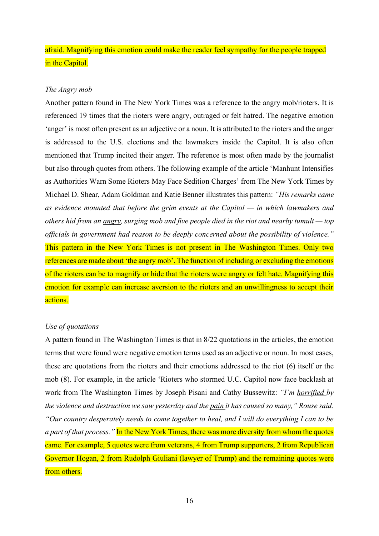afraid. Magnifying this emotion could make the reader feel sympathy for the people trapped in the Capitol.

#### *The Angry mob*

Another pattern found in The New York Times was a reference to the angry mob/rioters. It is referenced 19 times that the rioters were angry, outraged or felt hatred. The negative emotion 'anger' is most often present as an adjective or a noun. It is attributed to the rioters and the anger is addressed to the U.S. elections and the lawmakers inside the Capitol. It is also often mentioned that Trump incited their anger. The reference is most often made by the journalist but also through quotes from others. The following example of the article 'Manhunt Intensifies as Authorities Warn Some Rioters May Face Sedition Charges' from The New York Times by Michael D. Shear, Adam Goldman and Katie Benner illustrates this pattern: "His remarks came *as evidence mounted that before the grim events at the Capitol ² in which lawmakers and* others hid from an angry, surging mob and five people died in the riot and nearby tumult  $-$  top *officials in government had reason to be deeply concerned about the possibility of violence.*<sup>"</sup> This pattern in the New York Times is not present in The Washington Times. Only two references are made about 'the angry mob'. The function of including or excluding the emotions of the rioters can be to magnify or hide that the rioters were angry or felt hate. Magnifying this emotion for example can increase aversion to the rioters and an unwillingness to accept their actions.

#### *Use of quotations*

A pattern found in The Washington Times is that in 8/22 quotations in the articles, the emotion terms that were found were negative emotion terms used as an adjective or noun. In most cases, these are quotations from the rioters and their emotions addressed to the riot (6) itself or the mob (8). For example, in the article 'Rioters who stormed U.C. Capitol now face backlash at work from The Washington Times by Joseph Pisani and Cathy Bussewitz: *"I'm horrified by the violence and destruction we saw yesterday and the pain it has caused so many,* "*Rouse said.* <sup>"</sup>Our country desperately needs to come together to heal, and I will do everything I can to be *a part of that process.*" In the New York Times, there was more diversity from whom the quotes came. For example, 5 quotes were from veterans, 4 from Trump supporters, 2 from Republican Governor Hogan, 2 from Rudolph Giuliani (lawyer of Trump) and the remaining quotes were from others<sup>1</sup>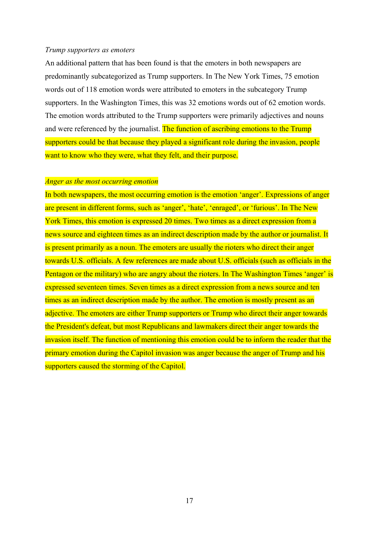#### *Trump supporters as emoters*

An additional pattern that has been found is that the emoters in both newspapers are predominantly subcategorized as Trump supporters. In The New York Times, 75 emotion words out of 118 emotion words were attributed to emoters in the subcategory Trump supporters. In the Washington Times, this was 32 emotions words out of 62 emotion words. The emotion words attributed to the Trump supporters were primarily adjectives and nouns and were referenced by the journalist. The function of ascribing emotions to the Trump supporters could be that because they played a significant role during the invasion, people want to know who they were, what they felt, and their purpose.

#### *Anger as the most occurring emotion*

In both newspapers, the most occurring emotion is the emotion 'anger'. Expressions of anger are present in different forms, such as 'anger', 'hate', 'enraged', or 'furious'. In The New York Times, this emotion is expressed 20 times. Two times as a direct expression from a news source and eighteen times as an indirect description made by the author or journalist. It is present primarily as a noun. The emoters are usually the rioters who direct their anger towards U.S. officials. A few references are made about U.S. officials (such as officials in the Pentagon or the military) who are angry about the rioters. In The Washington Times 'anger' is expressed seventeen times. Seven times as a direct expression from a news source and ten times as an indirect description made by the author. The emotion is mostly present as an adjective. The emoters are either Trump supporters or Trump who direct their anger towards the President's defeat, but most Republicans and lawmakers direct their anger towards the invasion itself. The function of mentioning this emotion could be to inform the reader that the primary emotion during the Capitol invasion was anger because the anger of Trump and his supporters caused the storming of the Capitol.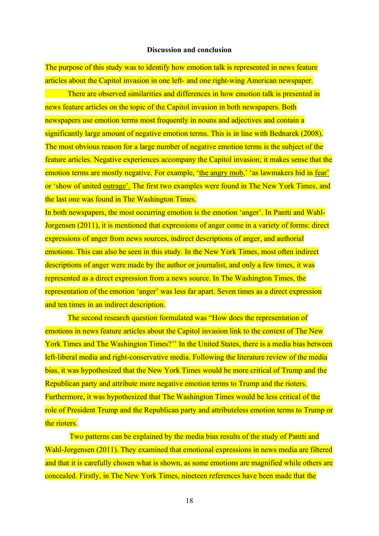#### **Discussion and conclusion**

The purpose of this study was to identify how emotion talk is represented in news feature articles about the Capitol invasion in one left- and one right-wing American newspaper.

There are observed similarities and differences in how emotion talk is presented in news feature articles on the topic of the Capitol invasion in both newspapers. Both newspapers use emotion terms most frequently in nouns and adjectives and contain a significantly large amount of negative emotion terms. This is in line with Bednarek (2008). The most obvious reason for a large number of negative emotion terms is the subject of the feature articles. Negative experiences accompany the Capitol invasion; it makes sense that the emotion terms are mostly negative. For example, 'the angry mob,' 'as lawmakers hid in fear' or 'show of united outrage'. The first two examples were found in The New York Times, and the last one was found in The Washington Times.

In both newspapers, the most occurring emotion is the emotion 'anger'. In Pantti and Wahl-Jorgensen (2011), it is mentioned that expressions of anger come in a variety of forms: direct expressions of anger from news sources, indirect descriptions of anger, and authorial emotions. This can also be seen in this study. In the New York Times, most often indirect descriptions of anger were made by the author or journalist, and only a few times, it was represented as a direct expression from a news source. In The Washington Times, the representation of the emotion 'anger' was less far apart. Seven times as a direct expression and ten times in an indirect description.

The second research question formulated was "How does the representation of emotions in news feature articles about the Capitol invasion link to the context of The New York Times and The Washington Times?" In the United States, there is a media bias between left-liberal media and right-conservative media. Following the literature review of the media bias, it was hypothesized that the New York Times would be more critical of Trump and the Republican party and attribute more negative emotion terms to Trump and the rioters. Furthermore, it was hypothesized that The Washington Times would be less critical of the role of President Trump and the Republican party and attributeless emotion terms to Trump or the rioters.

Two patterns can be explained by the media bias results of the study of Pantti and Wahl-Jorgensen (2011). They examined that emotional expressions in news media are filtered and that it is carefully chosen what is shown, as some emotions are magnified while others are concealed. Firstly, in The New York Times, nineteen references have been made that the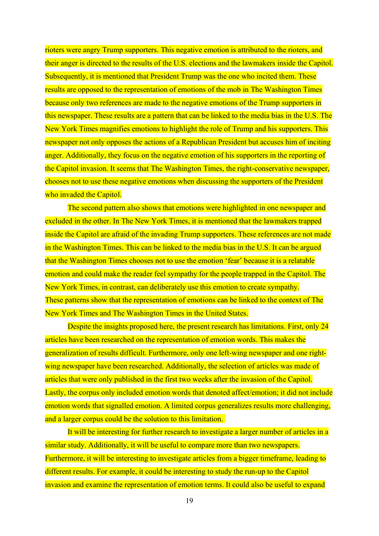rioters were angry Trump supporters. This negative emotion is attributed to the rioters, and their anger is directed to the results of the U.S. elections and the lawmakers inside the Capitol. Subsequently, it is mentioned that President Trump was the one who incited them. These results are opposed to the representation of emotions of the mob in The Washington Times because only two references are made to the negative emotions of the Trump supporters in this newspaper. These results are a pattern that can be linked to the media bias in the U.S. The New York Times magnifies emotions to highlight the role of Trump and his supporters. This newspaper not only opposes the actions of a Republican President but accuses him of inciting anger. Additionally, they focus on the negative emotion of his supporters in the reporting of the Capitol invasion. It seems that The Washington Times, the right-conservative newspaper, chooses not to use these negative emotions when discussing the supporters of the President who invaded the Capitol.

The second pattern also shows that emotions were highlighted in one newspaper and excluded in the other. In The New York Times, it is mentioned that the lawmakers trapped inside the Capitol are afraid of the invading Trump supporters. These references are not made in the Washington Times. This can be linked to the media bias in the U.S. It can be argued that the Washington Times chooses not to use the emotion 'fear' because it is a relatable emotion and could make the reader feel sympathy for the people trapped in the Capitol. The New York Times, in contrast, can deliberately use this emotion to create sympathy. These patterns show that the representation of emotions can be linked to the context of The New York Times and The Washington Times in the United States.

Despite the insights proposed here, the present research has limitations. First, only 24 articles have been researched on the representation of emotion words. This makes the generalization of results difficult. Furthermore, only one left-wing newspaper and one rightwing newspaper have been researched. Additionally, the selection of articles was made of articles that were only published in the first two weeks after the invasion of the Capitol. Lastly, the corpus only included emotion words that denoted affect/emotion; it did not include emotion words that signalled emotion. A limited corpus generalizes results more challenging, and a larger corpus could be the solution to this limitation.

It will be interesting for further research to investigate a larger number of articles in a similar study. Additionally, it will be useful to compare more than two newspapers. Furthermore, it will be interesting to investigate articles from a bigger timeframe, leading to different results. For example, it could be interesting to study the run-up to the Capitol invasion and examine the representation of emotion terms. It could also be useful to expand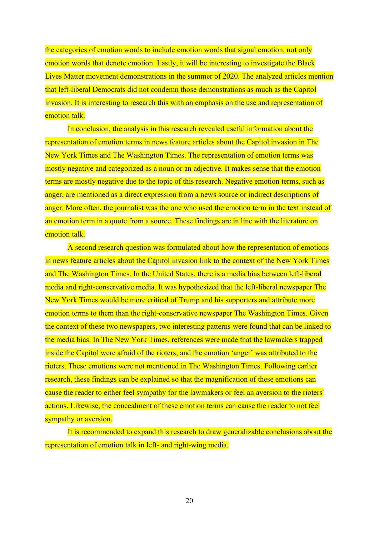the categories of emotion words to include emotion words that signal emotion, not only emotion words that denote emotion. Lastly, it will be interesting to investigate the Black Lives Matter movement demonstrations in the summer of 2020. The analyzed articles mention that left-liberal Democrats did not condemn those demonstrations as much as the Capitol invasion. It is interesting to research this with an emphasis on the use and representation of emotion talk.

In conclusion, the analysis in this research revealed useful information about the representation of emotion terms in news feature articles about the Capitol invasion in The New York Times and The Washington Times. The representation of emotion terms was mostly negative and categorized as a noun or an adjective. It makes sense that the emotion terms are mostly negative due to the topic of this research. Negative emotion terms, such as anger, are mentioned as a direct expression from a news source or indirect descriptions of anger. More often, the journalist was the one who used the emotion term in the text instead of an emotion term in a quote from a source. These findings are in line with the literature on emotion talk

A second research question was formulated about how the representation of emotions in news feature articles about the Capitol invasion link to the context of the New York Times and The Washington Times. In the United States, there is a media bias between left-liberal media and right-conservative media. It was hypothesized that the left-liberal newspaper The New York Times would be more critical of Trump and his supporters and attribute more emotion terms to them than the right-conservative newspaper The Washington Times. Given the context of these two newspapers, two interesting patterns were found that can be linked to the media bias. In The New York Times, references were made that the lawmakers trapped inside the Capitol were afraid of the rioters, and the emotion 'anger' was attributed to the rioters. These emotions were not mentioned in The Washington Times. Following earlier research, these findings can be explained so that the magnification of these emotions can cause the reader to either feel sympathy for the lawmakers or feel an aversion to the rioters' actions. Likewise, the concealment of these emotion terms can cause the reader to not feel sympathy or aversion.

It is recommended to expand this research to draw generalizable conclusions about the representation of emotion talk in left- and right-wing media.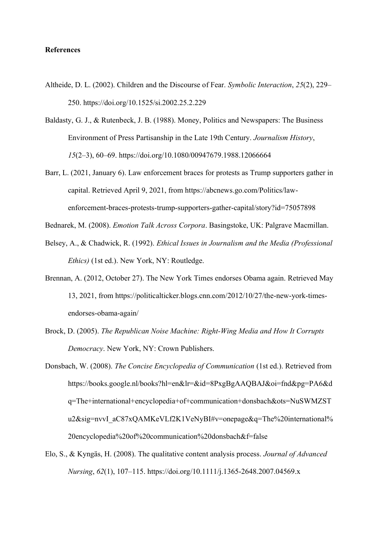#### **References**

- Altheide, D. L. (2002). Children and the Discourse of Fear. *Symbolic Interaction*, *25*(2), 229– 250. https://doi.org/10.1525/si.2002.25.2.229
- Baldasty, G. J., & Rutenbeck, J. B. (1988). Money, Politics and Newspapers: The Business Environment of Press Partisanship in the Late 19th Century. *Journalism History*, *15*(2–3), 60–69. https://doi.org/10.1080/00947679.1988.12066664
- Barr, L. (2021, January 6). Law enforcement braces for protests as Trump supporters gather in capital. Retrieved April 9, 2021, from https://abcnews.go.com/Politics/lawenforcement-braces-protests-trump-supporters-gather-capital/story?id=75057898

Bednarek, M. (2008). *Emotion Talk Across Corpora*. Basingstoke, UK: Palgrave Macmillan.

- Belsey, A., & Chadwick, R. (1992). *Ethical Issues in Journalism and the Media (Professional Ethics)* (1st ed.). New York, NY: Routledge.
- Brennan, A. (2012, October 27). The New York Times endorses Obama again. Retrieved May 13, 2021, from https://politicalticker.blogs.cnn.com/2012/10/27/the-new-york-timesendorses-obama-again/
- Brock, D. (2005). *The Republican Noise Machine: Right-Wing Media and How It Corrupts Democracy*. New York, NY: Crown Publishers.
- Donsbach, W. (2008). *The Concise Encyclopedia of Communication* (1st ed.). Retrieved from https://books.google.nl/books?hl=en&lr=&id=8PxgBgAAQBAJ&oi=fnd&pg=PA6&d q=The+international+encyclopedia+of+communication+donsbach&ots=NuSWMZST u2&sig=nvvI\_aC87xQAMKeVLf2K1VeNyBI#v=onepage&q=The%20international% 20encyclopedia%20of%20communication%20donsbach&f=false
- Elo, S., & Kyngäs, H. (2008). The qualitative content analysis process. *Journal of Advanced Nursing*, *62*(1), 107–115. https://doi.org/10.1111/j.1365-2648.2007.04569.x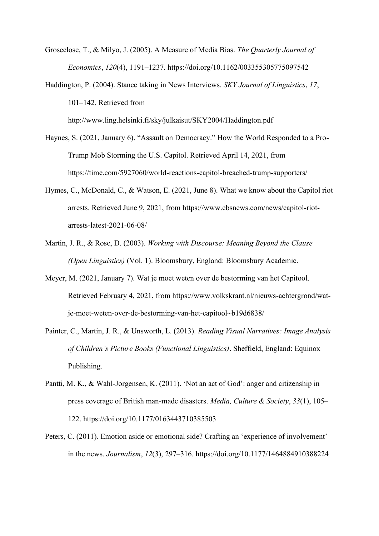Groseclose, T., & Milyo, J. (2005). A Measure of Media Bias. *The Quarterly Journal of Economics*, *120*(4), 1191–1237. https://doi.org/10.1162/003355305775097542

Haddington, P. (2004). Stance taking in News Interviews. *SKY Journal of Linguistics*, *17*, 101–142. Retrieved from

http://www.ling.helsinki.fi/sky/julkaisut/SKY2004/Haddington.pdf

- Haynes, S. (2021, January 6). "Assault on Democracy." How the World Responded to a Pro-Trump Mob Storming the U.S. Capitol. Retrieved April 14, 2021, from https://time.com/5927060/world-reactions-capitol-breached-trump-supporters/
- Hymes, C., McDonald, C., & Watson, E. (2021, June 8). What we know about the Capitol riot arrests. Retrieved June 9, 2021, from https://www.cbsnews.com/news/capitol-riotarrests-latest-2021-06-08/
- Martin, J. R., & Rose, D. (2003). *Working with Discourse: Meaning Beyond the Clause (Open Linguistics)* (Vol. 1). Bloomsbury, England: Bloomsbury Academic.
- Meyer, M. (2021, January 7). Wat je moet weten over de bestorming van het Capitool. Retrieved February 4, 2021, from https://www.volkskrant.nl/nieuws-achtergrond/watje-moet-weten-over-de-bestorming-van-het-capitool~b19d6838/
- Painter, C., Martin, J. R., & Unsworth, L. (2013). *Reading Visual Narratives: Image Analysis of Children's Picture Books (Functional Linguistics)*. Sheffield, England: Equinox Publishing.
- Pantti, M. K., & Wahl-Jorgensen, K. (2011). 'Not an act of God': anger and citizenship in press coverage of British man-made disasters. *Media, Culture & Society*, *33*(1), 105– 122. https://doi.org/10.1177/0163443710385503
- Peters, C. (2011). Emotion aside or emotional side? Crafting an 'experience of involvement' in the news. *Journalism*, *12*(3), 297–316. https://doi.org/10.1177/1464884910388224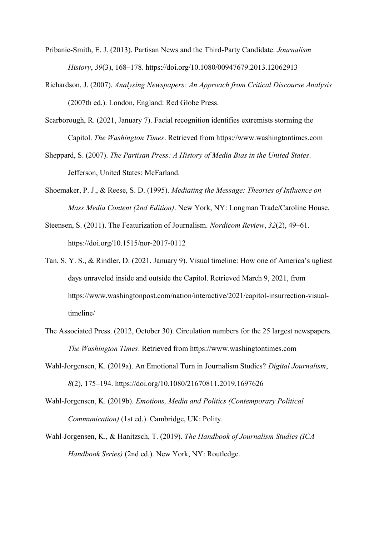Pribanic-Smith, E. J. (2013). Partisan News and the Third-Party Candidate. *Journalism History*, *39*(3), 168–178. https://doi.org/10.1080/00947679.2013.12062913

- Richardson, J. (2007). *Analysing Newspapers: An Approach from Critical Discourse Analysis* (2007th ed.). London, England: Red Globe Press.
- Scarborough, R. (2021, January 7). Facial recognition identifies extremists storming the Capitol. *The Washington Times*. Retrieved from https://www.washingtontimes.com
- Sheppard, S. (2007). *The Partisan Press: A History of Media Bias in the United States*. Jefferson, United States: McFarland.
- Shoemaker, P. J., & Reese, S. D. (1995). *Mediating the Message: Theories of Influence on Mass Media Content (2nd Edition)*. New York, NY: Longman Trade/Caroline House.
- Steensen, S. (2011). The Featurization of Journalism. *Nordicom Review*, *32*(2), 49–61. https://doi.org/10.1515/nor-2017-0112
- Tan, S. Y. S., & Rindler, D. (2021, January 9). Visual timeline: How one of America's ugliest days unraveled inside and outside the Capitol. Retrieved March 9, 2021, from https://www.washingtonpost.com/nation/interactive/2021/capitol-insurrection-visualtimeline/
- The Associated Press. (2012, October 30). Circulation numbers for the 25 largest newspapers. *The Washington Times*. Retrieved from https://www.washingtontimes.com
- Wahl-Jorgensen, K. (2019a). An Emotional Turn in Journalism Studies? *Digital Journalism*, *8*(2), 175–194. https://doi.org/10.1080/21670811.2019.1697626
- Wahl-Jorgensen, K. (2019b). *Emotions, Media and Politics (Contemporary Political Communication)* (1st ed.). Cambridge, UK: Polity.
- Wahl-Jorgensen, K., & Hanitzsch, T. (2019). *The Handbook of Journalism Studies (ICA Handbook Series)* (2nd ed.). New York, NY: Routledge.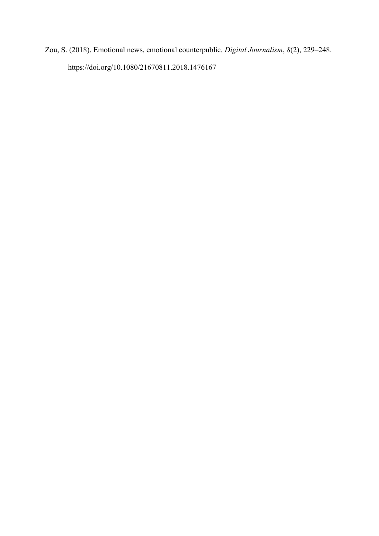Zou, S. (2018). Emotional news, emotional counterpublic. *Digital Journalism*, *8*(2), 229–248. https://doi.org/10.1080/21670811.2018.1476167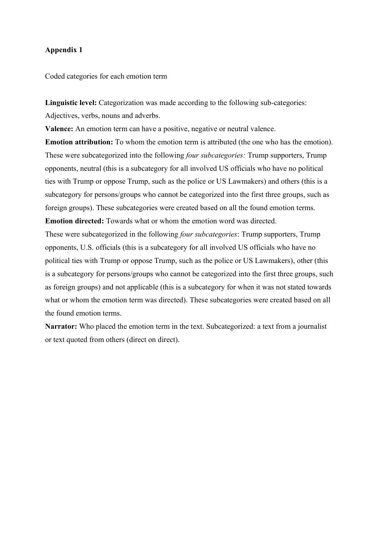Coded categories for each emotion term

**Linguistic level:** Categorization was made according to the following sub-categories: Adjectives, verbs, nouns and adverbs.

**Valence:** An emotion term can have a positive, negative or neutral valence.

**Emotion attribution:** To whom the emotion term is attributed (the one who has the emotion). These were subcategorized into the following *four subcategories:* Trump supporters, Trump opponents, neutral (this is a subcategory for all involved US officials who have no political ties with Trump or oppose Trump, such as the police or US Lawmakers) and others (this is a subcategory for persons/groups who cannot be categorized into the first three groups, such as foreign groups). These subcategories were created based on all the found emotion terms. **Emotion directed:** Towards what or whom the emotion word was directed.

These were subcategorized in the following *four subcategories*: Trump supporters, Trump opponents, U.S. officials (this is a subcategory for all involved US officials who have no political ties with Trump or oppose Trump, such as the police or US Lawmakers), other (this is a subcategory for persons/groups who cannot be categorized into the first three groups, such as foreign groups) and not applicable (this is a subcategory for when it was not stated towards what or whom the emotion term was directed). These subcategories were created based on all the found emotion terms.

**Narrator:** Who placed the emotion term in the text. Subcategorized: a text from a journalist or text quoted from others (direct on direct).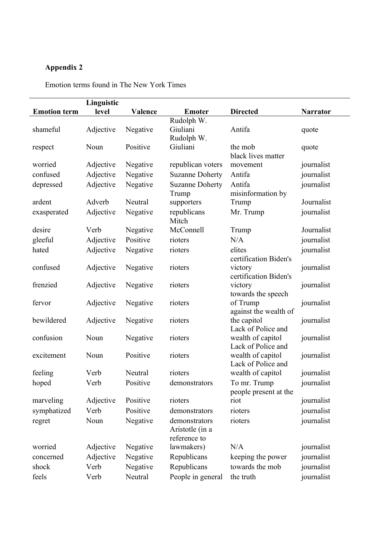Emotion terms found in The New York Times

|                     | Linguistic |          |                        |                                         |                 |
|---------------------|------------|----------|------------------------|-----------------------------------------|-----------------|
| <b>Emotion term</b> | level      | Valence  | <b>Emoter</b>          | <b>Directed</b>                         | <b>Narrator</b> |
|                     |            |          | Rudolph W.             |                                         |                 |
| shameful            | Adjective  | Negative | Giuliani               | Antifa                                  | quote           |
|                     |            |          | Rudolph W.             |                                         |                 |
| respect             | Noun       | Positive | Giuliani               | the mob<br>black lives matter           | quote           |
| worried             | Adjective  | Negative | republican voters      | movement                                | journalist      |
| confused            | Adjective  | Negative | <b>Suzanne Doherty</b> | Antifa                                  | journalist      |
| depressed           | Adjective  | Negative | <b>Suzanne Doherty</b> | Antifa                                  | journalist      |
|                     |            |          | Trump                  | misinformation by                       |                 |
| ardent              | Adverb     | Neutral  | supporters             | Trump                                   | Journalist      |
| exasperated         | Adjective  | Negative | republicans            | Mr. Trump                               | journalist      |
|                     |            |          | Mitch                  |                                         |                 |
| desire              | Verb       | Negative | McConnell              | Trump                                   | Journalist      |
| gleeful             | Adjective  | Positive | rioters                | N/A                                     | journalist      |
| hated               | Adjective  | Negative | rioters                | elites                                  | journalist      |
|                     |            |          |                        | certification Biden's                   |                 |
| confused            | Adjective  | Negative | rioters                | victory<br>certification Biden's        | journalist      |
| frenzied            | Adjective  | Negative | rioters                | victory                                 | journalist      |
|                     |            |          |                        | towards the speech                      |                 |
| fervor              | Adjective  | Negative | rioters                | of Trump                                | journalist      |
|                     |            |          |                        | against the wealth of                   |                 |
| bewildered          | Adjective  | Negative | rioters                | the capitol                             | journalist      |
|                     |            |          |                        | Lack of Police and                      |                 |
| confusion           | Noun       | Negative | rioters                | wealth of capitol                       | journalist      |
|                     |            |          |                        | Lack of Police and                      |                 |
| excitement          | Noun       | Positive | rioters                | wealth of capitol<br>Lack of Police and | journalist      |
| feeling             | Verb       | Neutral  | rioters                | wealth of capitol                       | journalist      |
| hoped               | Verb       | Positive | demonstrators          | To mr. Trump                            | journalist      |
|                     |            |          |                        | people present at the                   |                 |
| marveling           | Adjective  | Positive | rioters                | riot                                    | journalist      |
| symphatized         | Verb       | Positive | demonstrators          | rioters                                 | journalist      |
| regret              | Noun       | Negative | demonstrators          | rioters                                 | journalist      |
|                     |            |          | Aristotle (in a        |                                         |                 |
|                     |            |          | reference to           |                                         |                 |
| worried             | Adjective  | Negative | lawmakers)             | N/A                                     | journalist      |
| concerned           | Adjective  | Negative | Republicans            | keeping the power                       | journalist      |
| shock               | Verb       | Negative | Republicans            | towards the mob                         | journalist      |
| feels               | Verb       | Neutral  | People in general      | the truth                               | journalist      |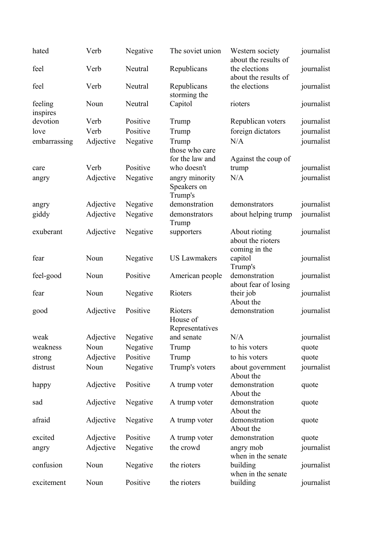| hated               | Verb      | Negative | The soviet union                           | Western society<br>about the results of             | journalist |
|---------------------|-----------|----------|--------------------------------------------|-----------------------------------------------------|------------|
| feel                | Verb      | Neutral  | Republicans                                | the elections<br>about the results of               | journalist |
| feel                | Verb      | Neutral  | Republicans<br>storming the                | the elections                                       | journalist |
| feeling<br>inspires | Noun      | Neutral  | Capitol                                    | rioters                                             | journalist |
| devotion            | Verb      | Positive | Trump                                      | Republican voters                                   | journalist |
| love                | Verb      | Positive | Trump                                      | foreign dictators                                   | journalist |
| embarrassing        | Adjective | Negative | Trump<br>those who care<br>for the law and | N/A<br>Against the coup of                          | journalist |
| care                | Verb      | Positive | who doesn't                                | trump                                               | journalist |
| angry               | Adjective | Negative | angry minority                             | N/A                                                 | journalist |
|                     |           |          | Speakers on<br>Trump's                     |                                                     |            |
| angry               | Adjective | Negative | demonstration                              | demonstrators                                       | journalist |
| giddy               | Adjective | Negative | demonstrators<br>Trump                     | about helping trump                                 | journalist |
| exuberant           | Adjective | Negative | supporters                                 | About rioting<br>about the rioters<br>coming in the | journalist |
| fear                | Noun      | Negative | <b>US Lawmakers</b>                        | capitol<br>Trump's                                  | journalist |
| feel-good           | Noun      | Positive | American people                            | demonstration<br>about fear of losing               | journalist |
| fear                | Noun      | Negative | Rioters                                    | their job<br>About the                              | journalist |
| good                | Adjective | Positive | Rioters<br>House of<br>Representatives     | demonstration                                       | journalist |
| weak                | Adjective | Negative | and senate                                 | N/A                                                 | journalist |
| weakness            | Noun      | Negative | Trump                                      | to his voters                                       | quote      |
| strong              | Adjective | Positive | Trump                                      | to his voters                                       | quote      |
| distrust            | Noun      | Negative | Trump's voters                             | about government<br>About the                       | journalist |
| happy               | Adjective | Positive | A trump voter                              | demonstration<br>About the                          | quote      |
| sad                 | Adjective | Negative | A trump voter                              | demonstration<br>About the                          | quote      |
| afraid              | Adjective | Negative | A trump voter                              | demonstration<br>About the                          | quote      |
| excited             | Adjective | Positive | A trump voter                              | demonstration                                       | quote      |
| angry               | Adjective | Negative | the crowd                                  | angry mob<br>when in the senate                     | journalist |
| confusion           | Noun      | Negative | the rioters                                | building<br>when in the senate                      | journalist |
| excitement          | Noun      | Positive | the rioters                                | building                                            | journalist |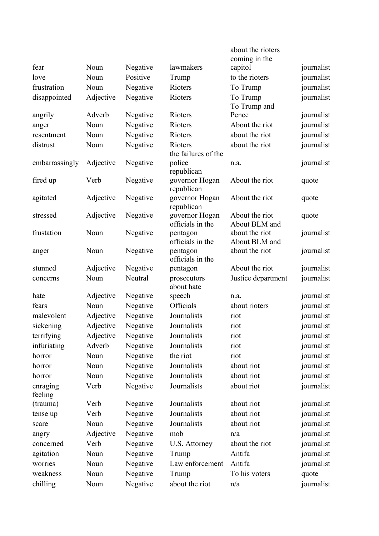|                     |           |          |                                | about the rioters<br>coming in the |            |
|---------------------|-----------|----------|--------------------------------|------------------------------------|------------|
| fear                | Noun      | Negative | lawmakers                      | capitol                            | journalist |
| love                | Noun      | Positive | Trump                          | to the rioters                     | journalist |
| frustration         | Noun      | Negative | Rioters                        | To Trump                           | journalist |
| disappointed        | Adjective | Negative | Rioters                        | To Trump                           | journalist |
|                     |           |          |                                | To Trump and                       |            |
| angrily             | Adverb    | Negative | Rioters                        | Pence                              | journalist |
| anger               | Noun      | Negative | Rioters                        | About the riot                     | journalist |
| resentment          | Noun      | Negative | Rioters                        | about the riot                     | journalist |
| distrust            | Noun      | Negative | Rioters<br>the failures of the | about the riot                     | journalist |
| embarrassingly      | Adjective | Negative | police<br>republican           | n.a.                               | journalist |
| fired up            | Verb      | Negative | governor Hogan<br>republican   | About the riot                     | quote      |
| agitated            | Adjective | Negative | governor Hogan<br>republican   | About the riot                     | quote      |
| stressed            | Adjective | Negative | governor Hogan                 | About the riot                     | quote      |
| frustation          | Noun      | Negative | officials in the<br>pentagon   | About BLM and<br>about the riot    | journalist |
|                     |           |          | officials in the               | About BLM and                      |            |
| anger               | Noun      | Negative | pentagon<br>officials in the   | about the riot                     | journalist |
| stunned             | Adjective | Negative | pentagon                       | About the riot                     | journalist |
| concerns            | Noun      | Neutral  | prosecutors<br>about hate      | Justice department                 | journalist |
| hate                | Adjective | Negative | speech                         | n.a.                               | journalist |
| fears               | Noun      | Negative | Officials                      | about rioters                      | journalist |
| malevolent          | Adjective | Negative | Journalists                    | riot                               | journalist |
| sickening           | Adjective | Negative | Journalists                    | riot                               | journalist |
| terrifying          | Adjective | Negative | Journalists                    | riot                               | journalist |
| infuriating         | Adverb    | Negative | Journalists                    | riot                               | journalist |
| horror              | Noun      | Negative | the riot                       | riot                               | journalist |
| horror              | Noun      | Negative | Journalists                    | about riot                         | journalist |
| horror              | Noun      | Negative | Journalists                    | about riot                         | journalist |
| enraging<br>feeling | Verb      | Negative | Journalists                    | about riot                         | journalist |
| (trauma)            | Verb      | Negative | Journalists                    | about riot                         | journalist |
| tense up            | Verb      | Negative | Journalists                    | about riot                         | journalist |
| scare               | Noun      | Negative | Journalists                    | about riot                         | journalist |
| angry               | Adjective | Negative | mob                            | n/a                                | journalist |
| concerned           | Verb      | Negative | U.S. Attorney                  | about the riot                     | journalist |
| agitation           | Noun      | Negative | Trump                          | Antifa                             | journalist |
| worries             | Noun      | Negative | Law enforcement                | Antifa                             | journalist |
| weakness            | Noun      | Negative | Trump                          | To his voters                      | quote      |
| chilling            | Noun      | Negative | about the riot                 | n/a                                | journalist |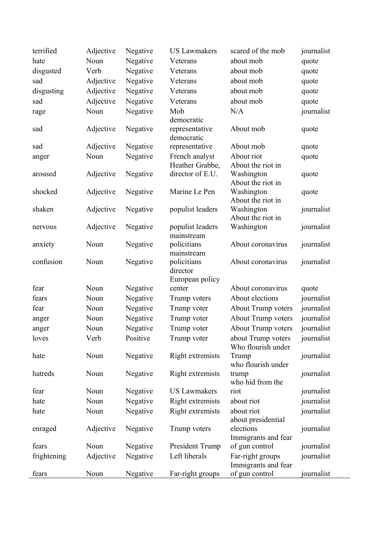| terrified   | Adjective | Negative | <b>US Lawmakers</b>                        | scared of the mob                                    | journalist |
|-------------|-----------|----------|--------------------------------------------|------------------------------------------------------|------------|
| hate        | Noun      | Negative | Veterans                                   | about mob                                            | quote      |
| disgusted   | Verb      | Negative | Veterans                                   | about mob                                            | quote      |
| sad         | Adjective | Negative | Veterans                                   | about mob                                            | quote      |
| disgusting  | Adjective | Negative | Veterans                                   | about mob                                            | quote      |
| sad         | Adjective | Negative | Veterans                                   | about mob                                            | quote      |
| rage        | Noun      | Negative | Mob                                        | N/A                                                  | journalist |
|             |           |          | democratic                                 |                                                      |            |
| sad         | Adjective | Negative | representative<br>democratic               | About mob                                            | quote      |
| sad         | Adjective | Negative | representative                             | About mob                                            | quote      |
| anger       | Noun      | Negative | French analyst                             | About riot                                           | quote      |
| aroused     | Adjective | Negative | Heather Grabbe,<br>director of E.U.        | About the riot in<br>Washington<br>About the riot in | quote      |
| shocked     | Adjective | Negative | Marine Le Pen                              | Washington<br>About the riot in                      | quote      |
| shaken      | Adjective | Negative | populist leaders                           | Washington<br>About the riot in                      | journalist |
| nervous     | Adjective | Negative | populist leaders<br>mainstream             | Washington                                           | journalist |
| anxiety     | Noun      | Negative | policitians<br>mainstream                  | About coronavirus                                    | journalist |
| confusion   | Noun      | Negative | policitians<br>director<br>European policy | About coronavirus                                    | journalist |
| fear        | Noun      | Negative | center                                     | About coronavirus                                    | quote      |
| fears       | Noun      | Negative | Trump voters                               | About elections                                      | journalist |
| fear        | Noun      | Negative | Trump voter                                | About Trump voters                                   | journalist |
| anger       | Noun      | Negative | Trump voter                                | About Trump voters                                   | journalist |
| anger       | Noun      | Negative | Trump voter                                | About Trump voters                                   | journalist |
| loves       | Verb      | Positive | Trump voter                                | about Trump voters<br>Who flourish under             | journalist |
| hate        | Noun      | Negative | Right extremists                           | Trump<br>who flourish under                          | journalist |
| hatreds     | Noun      | Negative | Right extremists                           | trump<br>who hid from the                            | journalist |
| fear        | Noun      | Negative | <b>US Lawmakers</b>                        | riot                                                 | journalist |
| hate        | Noun      | Negative | Right extremists                           | about riot                                           | journalist |
| hate        | Noun      | Negative | Right extremists                           | about riot                                           | journalist |
|             |           |          |                                            | about presidential                                   |            |
| enraged     | Adjective | Negative | Trump voters                               | elections<br>Immigrants and fear                     | journalist |
| fears       | Noun      | Negative | President Trump                            | of gun control                                       | journalist |
| frightening | Adjective | Negative | Left liberals                              | Far-right groups                                     | journalist |
|             |           |          |                                            | Immigrants and fear                                  |            |
| fears       | Noun      | Negative | Far-right groups                           | of gun control                                       | journalist |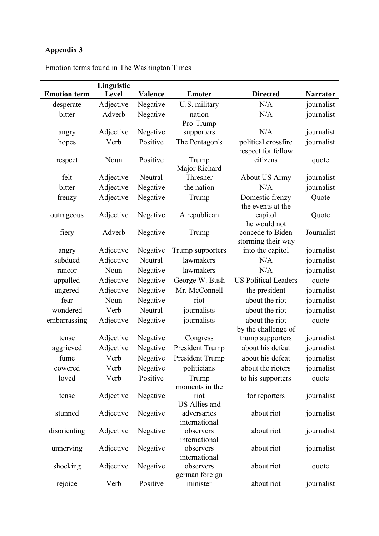|                     | Linguistic |          |                              |                                           |                 |
|---------------------|------------|----------|------------------------------|-------------------------------------------|-----------------|
| <b>Emotion term</b> | Level      | Valence  | <b>Emoter</b>                | <b>Directed</b>                           | <b>Narrator</b> |
| desperate           | Adjective  | Negative | U.S. military                | N/A                                       | journalist      |
| bitter              | Adverb     | Negative | nation                       | N/A                                       | journalist      |
|                     |            |          | Pro-Trump                    |                                           |                 |
| angry               | Adjective  | Negative | supporters                   | N/A                                       | journalist      |
| hopes               | Verb       | Positive | The Pentagon's               | political crossfire<br>respect for fellow | journalist      |
| respect             | Noun       | Positive | Trump<br>Major Richard       | citizens                                  | quote           |
| felt                | Adjective  | Neutral  | Thresher                     | <b>About US Army</b>                      | journalist      |
| bitter              | Adjective  | Negative | the nation                   | N/A                                       | journalist      |
| frenzy              | Adjective  | Negative | Trump                        | Domestic frenzy<br>the events at the      | Quote           |
| outrageous          | Adjective  | Negative | A republican                 | capitol<br>he would not                   | Quote           |
| fiery               | Adverb     | Negative | Trump                        | concede to Biden<br>storming their way    | Journalist      |
| angry               | Adjective  | Negative | Trump supporters             | into the capitol                          | journalist      |
| subdued             | Adjective  | Neutral  | lawmakers                    | N/A                                       | journalist      |
| rancor              | Noun       | Negative | lawmakers                    | N/A                                       | journalist      |
| appalled            | Adjective  | Negative | George W. Bush               | <b>US Political Leaders</b>               | quote           |
| angered             | Adjective  | Negative | Mr. McConnell                | the president                             | journalist      |
| fear                | Noun       | Negative | riot                         | about the riot                            | journalist      |
| wondered            | Verb       | Neutral  | journalists                  | about the riot                            | journalist      |
| embarrassing        | Adjective  | Negative | journalists                  | about the riot<br>by the challenge of     | quote           |
| tense               | Adjective  | Negative | Congress                     | trump supporters                          | journalist      |
| aggrieved           | Adjective  | Negative | President Trump              | about his defeat                          | journalist      |
| fume                | Verb       | Negative | President Trump              | about his defeat                          | journalist      |
| cowered             | Verb       | Negative | politicians                  | about the rioters                         | journalist      |
| loved               | Verb       | Positive | Trump<br>moments in the      | to his supporters                         | quote           |
| tense               | Adjective  | Negative | riot<br><b>US Allies and</b> | for reporters                             | journalist      |
| stunned             | Adjective  | Negative | adversaries<br>international | about riot                                | journalist      |
| disorienting        | Adjective  | Negative | observers<br>international   | about riot                                | journalist      |
| unnerving           | Adjective  | Negative | observers<br>international   | about riot                                | journalist      |
| shocking            | Adjective  | Negative | observers<br>german foreign  | about riot                                | quote           |
| rejoice             | Verb       | Positive | minister                     | about riot                                | journalist      |

Emotion terms found in The Washington Times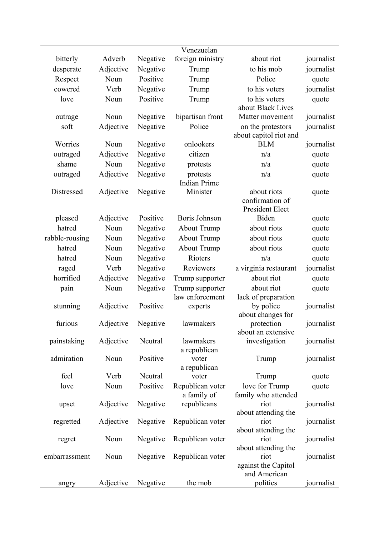| Venezuelan<br>bitterly<br>Adverb<br>Negative<br>foreign ministry<br>about riot<br>Adjective<br>to his mob<br>desperate<br>Negative<br>Trump<br>Respect<br>Positive<br>Police<br>Noun<br>Trump<br>cowered<br>Verb<br>Negative<br>to his voters<br>Trump<br>Positive<br>to his voters<br>love<br>Noun<br>Trump<br>about Black Lives<br>Noun<br>Negative<br>bipartisan front<br>outrage<br>Matter movement<br>Adjective<br>Police<br>soft<br>Negative<br>on the protestors | journalist<br>journalist<br>quote<br>journalist<br>quote<br>journalist<br>journalist |
|-------------------------------------------------------------------------------------------------------------------------------------------------------------------------------------------------------------------------------------------------------------------------------------------------------------------------------------------------------------------------------------------------------------------------------------------------------------------------|--------------------------------------------------------------------------------------|
|                                                                                                                                                                                                                                                                                                                                                                                                                                                                         |                                                                                      |
|                                                                                                                                                                                                                                                                                                                                                                                                                                                                         |                                                                                      |
|                                                                                                                                                                                                                                                                                                                                                                                                                                                                         |                                                                                      |
|                                                                                                                                                                                                                                                                                                                                                                                                                                                                         |                                                                                      |
|                                                                                                                                                                                                                                                                                                                                                                                                                                                                         |                                                                                      |
|                                                                                                                                                                                                                                                                                                                                                                                                                                                                         |                                                                                      |
| about capitol riot and                                                                                                                                                                                                                                                                                                                                                                                                                                                  |                                                                                      |
| <b>BLM</b><br>Worries<br>Noun<br>Negative<br>onlookers                                                                                                                                                                                                                                                                                                                                                                                                                  | journalist                                                                           |
| Adjective<br>citizen<br>outraged<br>Negative<br>n/a                                                                                                                                                                                                                                                                                                                                                                                                                     | quote                                                                                |
| shame<br>Negative<br>Noun<br>n/a<br>protests                                                                                                                                                                                                                                                                                                                                                                                                                            | quote                                                                                |
| Negative<br>n/a<br>Adjective<br>outraged<br>protests<br><b>Indian Prime</b>                                                                                                                                                                                                                                                                                                                                                                                             | quote                                                                                |
| Distressed<br>Minister<br>Adjective<br>Negative<br>about riots<br>confirmation of<br>President Elect                                                                                                                                                                                                                                                                                                                                                                    | quote                                                                                |
| Positive<br><b>Boris Johnson</b><br>Biden<br>Adjective<br>pleased                                                                                                                                                                                                                                                                                                                                                                                                       | quote                                                                                |
| hatred<br>Noun<br><b>About Trump</b><br>Negative<br>about riots                                                                                                                                                                                                                                                                                                                                                                                                         | quote                                                                                |
| <b>About Trump</b><br>rabble-rousing<br>Noun<br>Negative<br>about riots                                                                                                                                                                                                                                                                                                                                                                                                 | quote                                                                                |
| hatred<br>Negative<br><b>About Trump</b><br>about riots<br>Noun                                                                                                                                                                                                                                                                                                                                                                                                         | quote                                                                                |
| Noun<br>Negative<br>Rioters<br>n/a<br>hatred                                                                                                                                                                                                                                                                                                                                                                                                                            | quote                                                                                |
| Verb<br>Reviewers<br>a virginia restaurant<br>raged<br>Negative                                                                                                                                                                                                                                                                                                                                                                                                         | journalist                                                                           |
| horrified<br>Negative<br>Adjective<br>about riot<br>Trump supporter                                                                                                                                                                                                                                                                                                                                                                                                     | quote                                                                                |
| Negative<br>Noun<br>Trump supporter<br>about riot<br>pain<br>law enforcement<br>lack of preparation                                                                                                                                                                                                                                                                                                                                                                     | quote                                                                                |
| Adjective<br>Positive<br>by police<br>stunning<br>experts<br>about changes for                                                                                                                                                                                                                                                                                                                                                                                          | journalist                                                                           |
| furious<br>Adjective<br>Negative<br>lawmakers<br>protection<br>about an extensive                                                                                                                                                                                                                                                                                                                                                                                       | journalist                                                                           |
| painstaking<br>Adjective<br>Neutral<br>lawmakers<br>investigation<br>a republican                                                                                                                                                                                                                                                                                                                                                                                       | journalist                                                                           |
| admiration<br>Positive<br>Noun<br>voter<br>Trump<br>a republican                                                                                                                                                                                                                                                                                                                                                                                                        | journalist                                                                           |
| feel<br>Verb<br>Neutral<br>voter<br>Trump                                                                                                                                                                                                                                                                                                                                                                                                                               | quote                                                                                |
| love for Trump<br>Positive<br>Republican voter<br>Noun<br>love<br>family who attended<br>a family of                                                                                                                                                                                                                                                                                                                                                                    | quote                                                                                |
| Negative<br>republicans<br>Adjective<br>riot<br>upset<br>about attending the                                                                                                                                                                                                                                                                                                                                                                                            | journalist                                                                           |
| Republican voter<br>Adjective<br>Negative<br>riot<br>regretted<br>about attending the                                                                                                                                                                                                                                                                                                                                                                                   | journalist                                                                           |
| Republican voter<br>Noun<br>Negative<br>riot<br>regret<br>about attending the                                                                                                                                                                                                                                                                                                                                                                                           | journalist                                                                           |
| Negative<br>Republican voter<br>Noun<br>embarrassment<br>riot<br>against the Capitol<br>and American                                                                                                                                                                                                                                                                                                                                                                    | journalist                                                                           |
| Negative<br>the mob<br>politics<br>Adjective<br>angry                                                                                                                                                                                                                                                                                                                                                                                                                   | journalist                                                                           |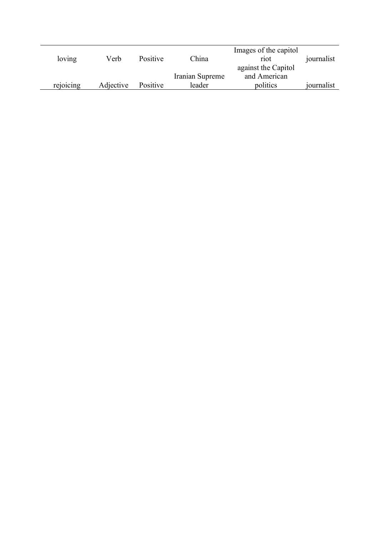|           |           |          |                 | Images of the capitol |            |
|-----------|-----------|----------|-----------------|-----------------------|------------|
| loving    | Verb      | Positive | China           | riot                  | journalist |
|           |           |          |                 | against the Capitol   |            |
|           |           |          | Iranian Supreme | and American          |            |
| rejoicing | Adjective | Positive | leader          | politics              | journalist |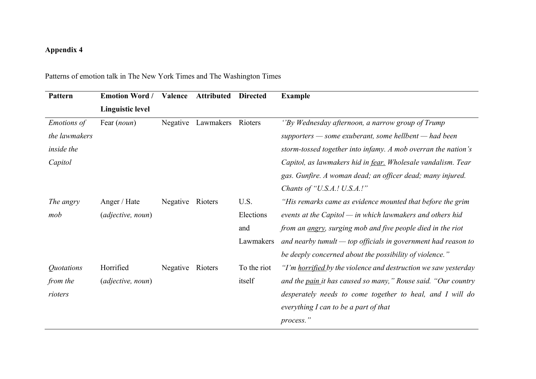| Pattern            | <b>Emotion Word /</b>   | Valence          | <b>Attributed</b> | <b>Directed</b> | <b>Example</b>                                                      |
|--------------------|-------------------------|------------------|-------------------|-----------------|---------------------------------------------------------------------|
|                    | <b>Linguistic level</b> |                  |                   |                 |                                                                     |
| <b>Emotions</b> of | Fear (noun)             | Negative         | Lawmakers         | Rioters         | "By Wednesday afternoon, a narrow group of Trump                    |
| the lawmakers      |                         |                  |                   |                 | $supporters$ - some exuberant, some hellbent - had been             |
| inside the         |                         |                  |                   |                 | storm-tossed together into infamy. A mob overran the nation's       |
| Capitol            |                         |                  |                   |                 | Capitol, as lawmakers hid in fear. Wholesale vandalism. Tear        |
|                    |                         |                  |                   |                 | gas. Gunfire. A woman dead; an officer dead; many injured.          |
|                    |                         |                  |                   |                 | Chants of "U.S.A.! U.S.A.!"                                         |
| The angry          | Anger / Hate            | Negative         | Rioters           | U.S.            | "His remarks came as evidence mounted that before the grim          |
| mob                | (adjective, noun)       |                  |                   | Elections       | events at the Capitol $-$ in which lawmakers and others hid         |
|                    |                         |                  |                   | and             | from an <i>angry</i> , surging mob and five people died in the riot |
|                    |                         |                  |                   | Lawmakers       | and nearby tumult $-$ top officials in government had reason to     |
|                    |                         |                  |                   |                 | be deeply concerned about the possibility of violence."             |
| Quotations         | Horrified               | Negative Rioters |                   | To the riot     | "I'm horrified by the violence and destruction we saw yesterday     |
| from the           | (adjective, noun)       |                  |                   | itself          | and the pain it has caused so many," Rouse said. "Our country       |
| rioters            |                         |                  |                   |                 | desperately needs to come together to heal, and I will do           |
|                    |                         |                  |                   |                 | everything I can to be a part of that                               |
|                    |                         |                  |                   |                 | process."                                                           |

Patterns of emotion talk in The New York Times and The Washington Times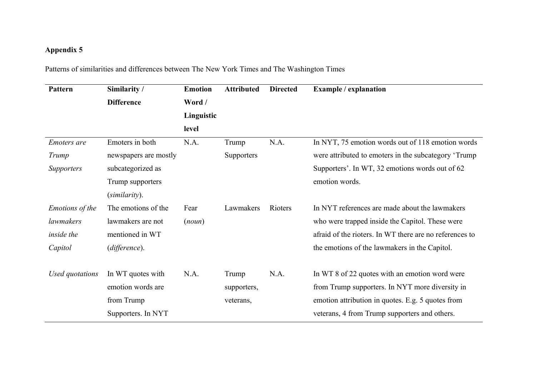Patterns of similarities and differences between The New York Times and The Washington Times

| Pattern         | Similarity /          | <b>Emotion</b> | <b>Attributed</b> | <b>Directed</b> | <b>Example / explanation</b>                            |
|-----------------|-----------------------|----------------|-------------------|-----------------|---------------------------------------------------------|
|                 | <b>Difference</b>     | Word /         |                   |                 |                                                         |
|                 |                       | Linguistic     |                   |                 |                                                         |
|                 |                       | level          |                   |                 |                                                         |
| Emoters are     | Emoters in both       | N.A.           | Trump             | N.A.            | In NYT, 75 emotion words out of 118 emotion words       |
| Trump           | newspapers are mostly |                | Supporters        |                 | were attributed to emoters in the subcategory 'Trump'   |
| Supporters      | subcategorized as     |                |                   |                 | Supporters'. In WT, 32 emotions words out of 62         |
|                 | Trump supporters      |                |                   |                 | emotion words.                                          |
|                 | (similarity).         |                |                   |                 |                                                         |
| Emotions of the | The emotions of the   | Fear           | Lawmakers         | Rioters         | In NYT references are made about the lawmakers          |
| lawmakers       | lawmakers are not     | (noun)         |                   |                 | who were trapped inside the Capitol. These were         |
| inside the      | mentioned in WT       |                |                   |                 | afraid of the rioters. In WT there are no references to |
| Capitol         | (difference).         |                |                   |                 | the emotions of the lawmakers in the Capitol.           |
| Used quotations | In WT quotes with     | N.A.           | Trump             | N.A.            | In WT 8 of 22 quotes with an emotion word were          |
|                 | emotion words are     |                | supporters,       |                 | from Trump supporters. In NYT more diversity in         |
|                 | from Trump            |                | veterans,         |                 | emotion attribution in quotes. E.g. 5 quotes from       |
|                 | Supporters. In NYT    |                |                   |                 | veterans, 4 from Trump supporters and others.           |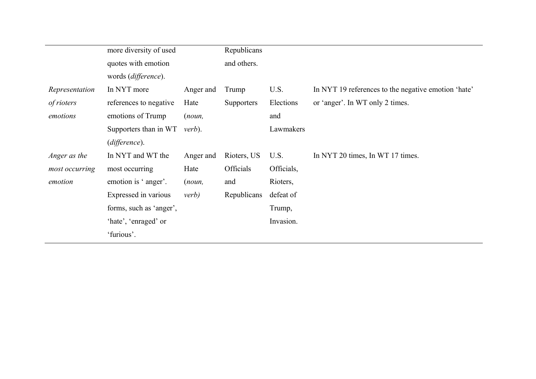|                | more diversity of used  |               | Republicans       |            |                                                     |
|----------------|-------------------------|---------------|-------------------|------------|-----------------------------------------------------|
|                | quotes with emotion     |               | and others.       |            |                                                     |
|                | words (difference).     |               |                   |            |                                                     |
| Representation | In NYT more             | Anger and     | Trump             | U.S.       | In NYT 19 references to the negative emotion 'hate' |
| of rioters     | references to negative  | Hate          | <b>Supporters</b> | Elections  | or 'anger'. In WT only 2 times.                     |
| emotions       | emotions of Trump       | (noun,        |                   | and        |                                                     |
|                | Supporters than in WT   | verb).        |                   | Lawmakers  |                                                     |
|                | (difference).           |               |                   |            |                                                     |
| Anger as the   | In NYT and WT the       | Anger and     | Rioters, US       | U.S.       | In NYT 20 times, In WT 17 times.                    |
| most occurring | most occurring          | Hate          | <b>Officials</b>  | Officials, |                                                     |
| emotion        | emotion is 'anger'.     | (noun,        | and               | Rioters,   |                                                     |
|                | Expressed in various    | <i>verb</i> ) | Republicans       | defeat of  |                                                     |
|                | forms, such as 'anger', |               |                   | Trump,     |                                                     |
|                | 'hate', 'enraged' or    |               |                   | Invasion.  |                                                     |
|                | 'furious'.              |               |                   |            |                                                     |